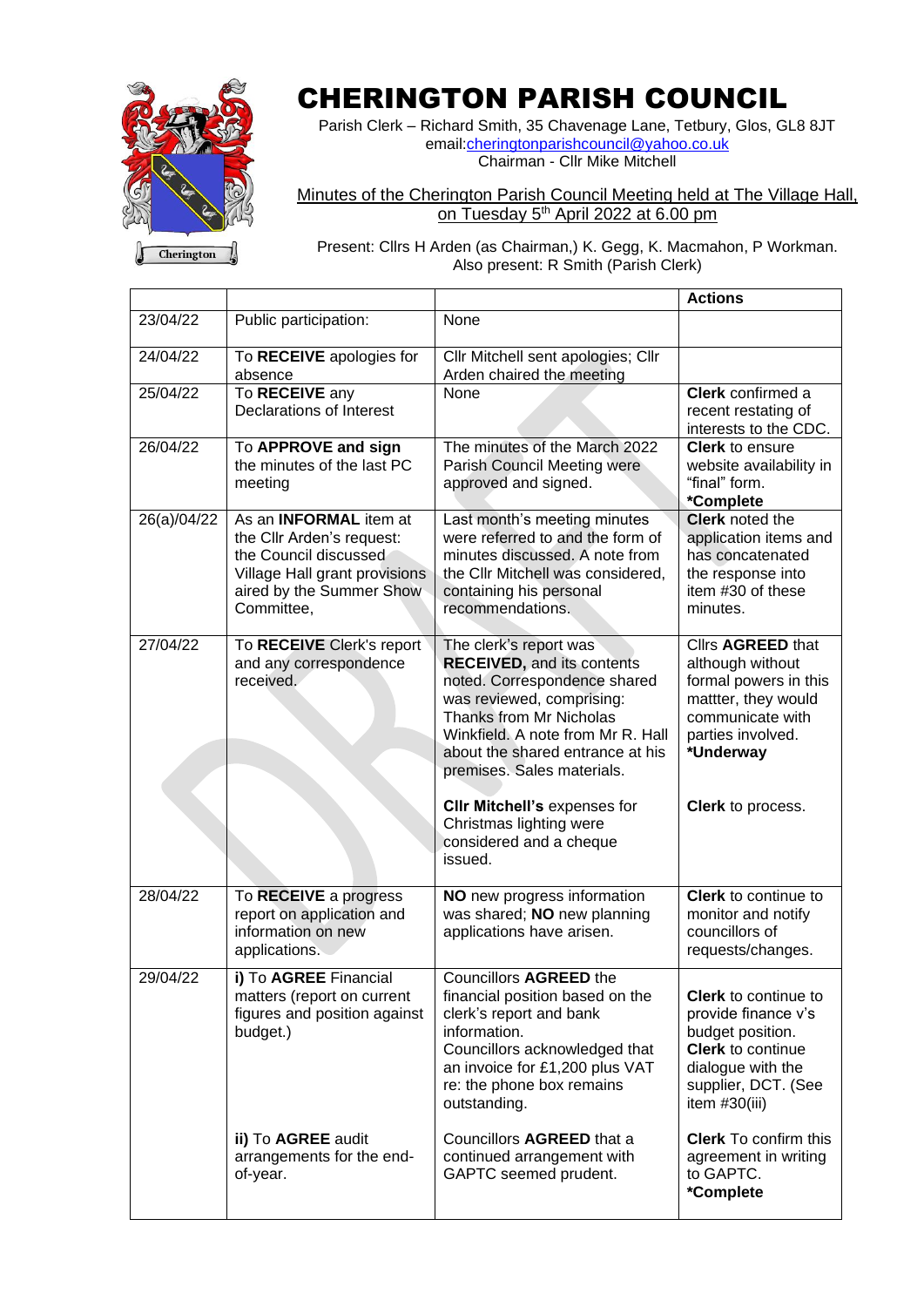

## CHERINGTON PARISH COUNCIL

Parish Clerk – Richard Smith, 35 Chavenage Lane, Tetbury, Glos, GL8 8JT email: cheringtonparishcouncil@yahoo.co.uk Chairman - Cllr Mike Mitchell

## Minutes of the Cherington Parish Council Meeting held at The Village Hall, on Tuesday 5<sup>th</sup> April 2022 at 6.00 pm

 $\sqrt{\phantom{a}}$  Cherington

Present: Cllrs H Arden (as Chairman,) K. Gegg, K. Macmahon, P Workman. Also present: R Smith (Parish Clerk)

|             |                                                                                                                                                                |                                                                                                                                                                                                                                                                                                                                                             | <b>Actions</b>                                                                                                                                                   |
|-------------|----------------------------------------------------------------------------------------------------------------------------------------------------------------|-------------------------------------------------------------------------------------------------------------------------------------------------------------------------------------------------------------------------------------------------------------------------------------------------------------------------------------------------------------|------------------------------------------------------------------------------------------------------------------------------------------------------------------|
| 23/04/22    | Public participation:                                                                                                                                          | None                                                                                                                                                                                                                                                                                                                                                        |                                                                                                                                                                  |
| 24/04/22    | To RECEIVE apologies for<br>absence                                                                                                                            | Cllr Mitchell sent apologies; Cllr<br>Arden chaired the meeting                                                                                                                                                                                                                                                                                             |                                                                                                                                                                  |
| 25/04/22    | To RECEIVE any<br><b>Declarations of Interest</b>                                                                                                              | <b>None</b>                                                                                                                                                                                                                                                                                                                                                 | Clerk confirmed a<br>recent restating of<br>interests to the CDC.                                                                                                |
| 26/04/22    | To APPROVE and sign<br>the minutes of the last PC<br>meeting                                                                                                   | The minutes of the March 2022<br><b>Parish Council Meeting were</b><br>approved and signed.                                                                                                                                                                                                                                                                 | <b>Clerk</b> to ensure<br>website availability in<br>"final" form.<br>*Complete                                                                                  |
| 26(a)/04/22 | As an <b>INFORMAL</b> item at<br>the Cllr Arden's request:<br>the Council discussed<br>Village Hall grant provisions<br>aired by the Summer Show<br>Committee, | Last month's meeting minutes<br>were referred to and the form of<br>minutes discussed. A note from<br>the CIIr Mitchell was considered,<br>containing his personal<br>recommendations.                                                                                                                                                                      | <b>Clerk</b> noted the<br>application items and<br>has concatenated<br>the response into<br>item #30 of these<br>minutes.                                        |
| 27/04/22    | To RECEIVE Clerk's report<br>and any correspondence<br>received.                                                                                               | The clerk's report was<br><b>RECEIVED, and its contents</b><br>noted. Correspondence shared<br>was reviewed, comprising:<br>Thanks from Mr Nicholas<br>Winkfield. A note from Mr R. Hall<br>about the shared entrance at his<br>premises. Sales materials.<br>CIIr Mitchell's expenses for<br>Christmas lighting were<br>considered and a cheque<br>issued. | Cllrs AGREED that<br>although without<br>formal powers in this<br>mattter, they would<br>communicate with<br>parties involved.<br>*Underway<br>Clerk to process. |
| 28/04/22    | To RECEIVE a progress<br>report on application and<br>information on new<br>applications.                                                                      | NO new progress information<br>was shared; NO new planning<br>applications have arisen.                                                                                                                                                                                                                                                                     | <b>Clerk</b> to continue to<br>monitor and notify<br>councillors of<br>requests/changes.                                                                         |
| 29/04/22    | i) To AGREE Financial<br>matters (report on current<br>figures and position against<br>budget.)                                                                | Councillors AGREED the<br>financial position based on the<br>clerk's report and bank<br>information.<br>Councillors acknowledged that<br>an invoice for £1,200 plus VAT<br>re: the phone box remains<br>outstanding.                                                                                                                                        | <b>Clerk</b> to continue to<br>provide finance v's<br>budget position.<br><b>Clerk</b> to continue<br>dialogue with the<br>supplier, DCT. (See<br>item #30(iii)  |
|             | ii) To AGREE audit<br>arrangements for the end-<br>of-year.                                                                                                    | Councillors AGREED that a<br>continued arrangement with<br>GAPTC seemed prudent.                                                                                                                                                                                                                                                                            | <b>Clerk</b> To confirm this<br>agreement in writing<br>to GAPTC.<br>*Complete                                                                                   |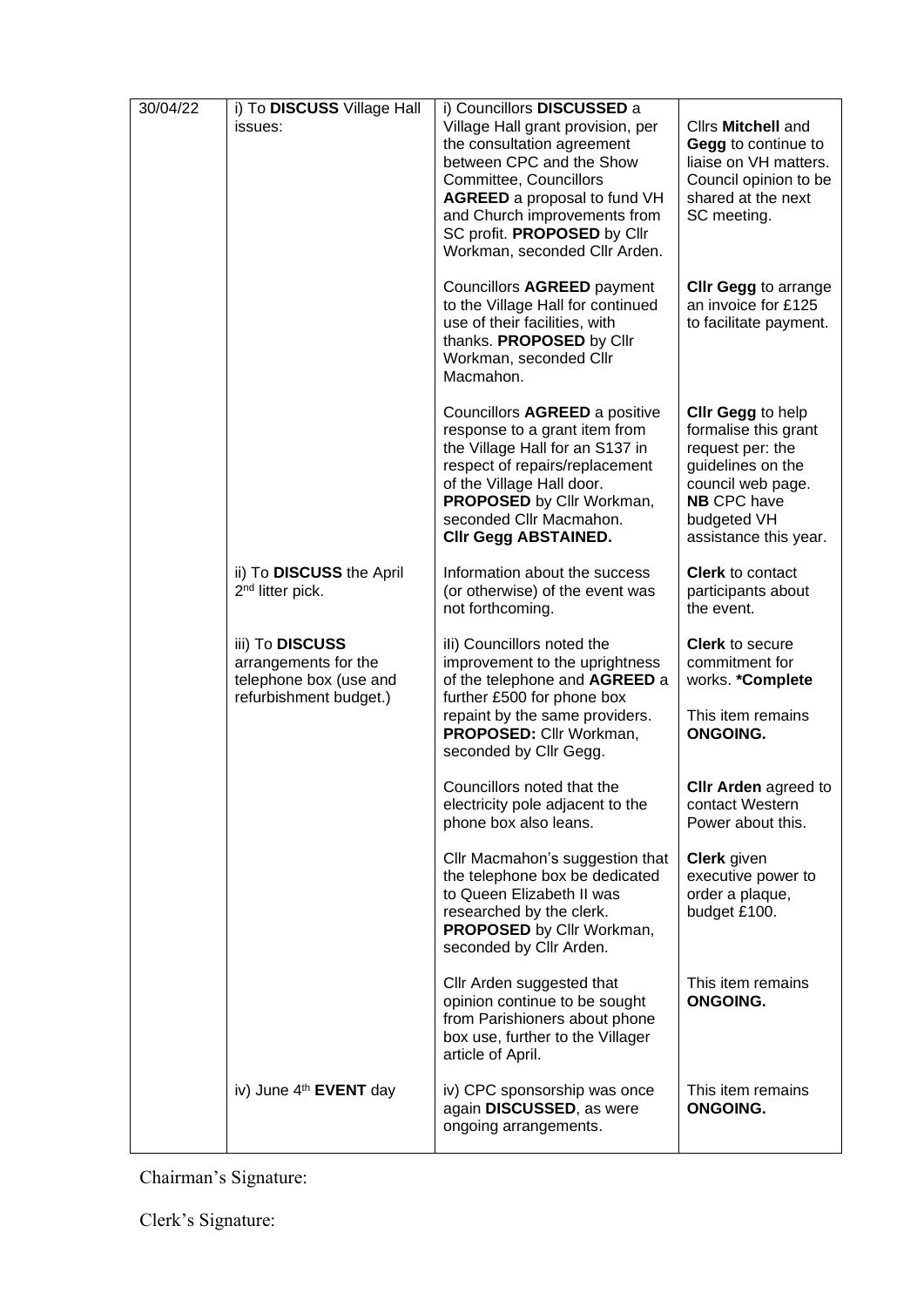| 30/04/22 | i) To DISCUSS Village Hall<br>issues:                                                       | i) Councillors DISCUSSED a<br>Village Hall grant provision, per<br>the consultation agreement<br>between CPC and the Show<br>Committee, Councillors<br><b>AGREED</b> a proposal to fund VH<br>and Church improvements from<br>SC profit. PROPOSED by Cllr<br>Workman, seconded Cllr Arden. | Cllrs Mitchell and<br>Gegg to continue to<br>liaise on VH matters.<br>Council opinion to be<br>shared at the next<br>SC meeting.                                      |
|----------|---------------------------------------------------------------------------------------------|--------------------------------------------------------------------------------------------------------------------------------------------------------------------------------------------------------------------------------------------------------------------------------------------|-----------------------------------------------------------------------------------------------------------------------------------------------------------------------|
|          |                                                                                             | Councillors AGREED payment<br>to the Village Hall for continued<br>use of their facilities, with<br>thanks. PROPOSED by Cllr<br>Workman, seconded Cllr<br>Macmahon.                                                                                                                        | <b>CIIr Gegg to arrange</b><br>an invoice for £125<br>to facilitate payment.                                                                                          |
|          |                                                                                             | Councillors AGREED a positive<br>response to a grant item from<br>the Village Hall for an S137 in<br>respect of repairs/replacement<br>of the Village Hall door.<br>PROPOSED by Cllr Workman,<br>seconded Cllr Macmahon.<br>Clir Gegg ABSTAINED.                                           | Clir Gegg to help<br>formalise this grant<br>request per: the<br>guidelines on the<br>council web page.<br><b>NB CPC have</b><br>budgeted VH<br>assistance this year. |
|          | ii) To DISCUSS the April<br>2 <sup>nd</sup> litter pick.                                    | Information about the success<br>(or otherwise) of the event was<br>not forthcoming.                                                                                                                                                                                                       | <b>Clerk</b> to contact<br>participants about<br>the event.                                                                                                           |
|          | iii) To DISCUSS<br>arrangements for the<br>telephone box (use and<br>refurbishment budget.) | ili) Councillors noted the<br>improvement to the uprightness<br>of the telephone and AGREED a<br>further £500 for phone box<br>repaint by the same providers.<br>PROPOSED: Cllr Workman,                                                                                                   | <b>Clerk</b> to secure<br>commitment for<br>works. *Complete<br>This item remains<br><b>ONGOING.</b>                                                                  |
|          |                                                                                             | seconded by Cllr Gegg.                                                                                                                                                                                                                                                                     |                                                                                                                                                                       |
|          |                                                                                             | Councillors noted that the<br>electricity pole adjacent to the<br>phone box also leans.                                                                                                                                                                                                    | <b>CIIr Arden agreed to</b><br>contact Western<br>Power about this.                                                                                                   |
|          |                                                                                             | Cllr Macmahon's suggestion that<br>the telephone box be dedicated<br>to Queen Elizabeth II was<br>researched by the clerk.<br>PROPOSED by Cllr Workman,<br>seconded by Cllr Arden.                                                                                                         | <b>Clerk</b> given<br>executive power to<br>order a plaque,<br>budget £100.                                                                                           |
|          |                                                                                             | Cllr Arden suggested that<br>opinion continue to be sought<br>from Parishioners about phone<br>box use, further to the Villager<br>article of April.                                                                                                                                       | This item remains<br><b>ONGOING.</b>                                                                                                                                  |
|          | iv) June 4 <sup>th</sup> EVENT day                                                          | iv) CPC sponsorship was once<br>again DISCUSSED, as were<br>ongoing arrangements.                                                                                                                                                                                                          | This item remains<br><b>ONGOING.</b>                                                                                                                                  |

Chairman's Signature:

Clerk's Signature: